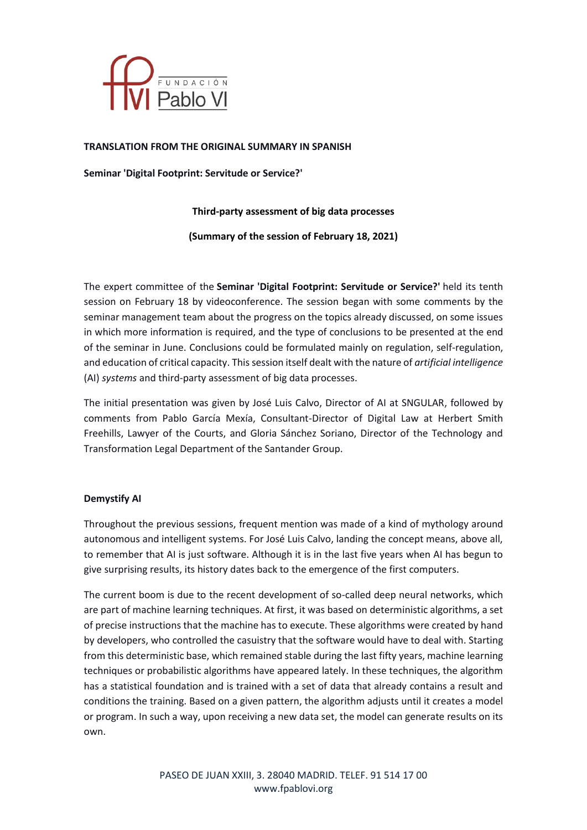

### **TRANSLATION FROM THE ORIGINAL SUMMARY IN SPANISH**

**Seminar 'Digital Footprint: Servitude or Service?'**

## **Third-party assessment of big data processes**

**(Summary of the session of February 18, 2021)**

The expert committee of the **Seminar 'Digital Footprint: Servitude or Service?'** held its tenth session on February 18 by videoconference. The session began with some comments by the seminar management team about the progress on the topics already discussed, on some issues in which more information is required, and the type of conclusions to be presented at the end of the seminar in June. Conclusions could be formulated mainly on regulation, self-regulation, and education of critical capacity. Thissession itself dealt with the nature of *artificial intelligence* (AI) *systems* and third-party assessment of big data processes.

The initial presentation was given by José Luis Calvo, Director of AI at SNGULAR, followed by comments from Pablo García Mexía, Consultant-Director of Digital Law at Herbert Smith Freehills, Lawyer of the Courts, and Gloria Sánchez Soriano, Director of the Technology and Transformation Legal Department of the Santander Group.

#### **Demystify AI**

Throughout the previous sessions, frequent mention was made of a kind of mythology around autonomous and intelligent systems. For José Luis Calvo, landing the concept means, above all, to remember that AI is just software. Although it is in the last five years when AI has begun to give surprising results, its history dates back to the emergence of the first computers.

The current boom is due to the recent development of so-called deep neural networks, which are part of machine learning techniques. At first, it was based on deterministic algorithms, a set of precise instructions that the machine has to execute. These algorithms were created by hand by developers, who controlled the casuistry that the software would have to deal with. Starting from this deterministic base, which remained stable during the last fifty years, machine learning techniques or probabilistic algorithms have appeared lately. In these techniques, the algorithm has a statistical foundation and is trained with a set of data that already contains a result and conditions the training. Based on a given pattern, the algorithm adjusts until it creates a model or program. In such a way, upon receiving a new data set, the model can generate results on its own.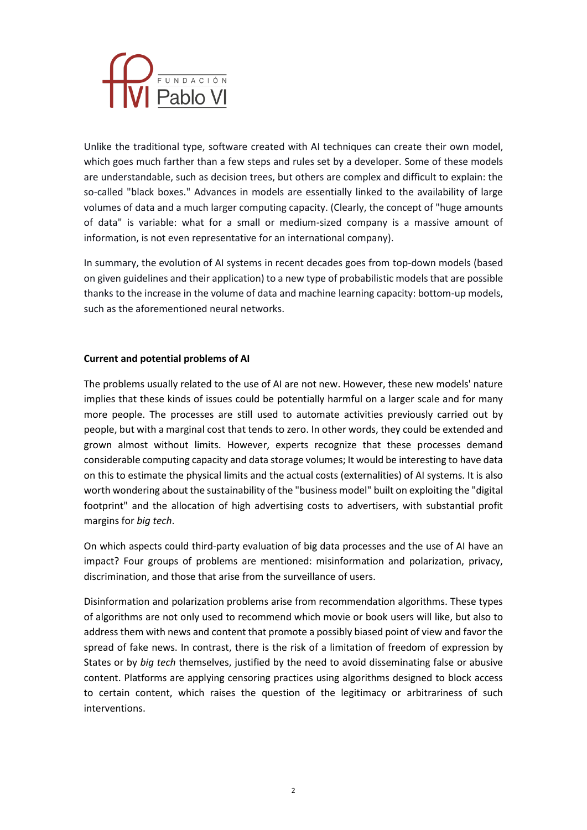

Unlike the traditional type, software created with AI techniques can create their own model, which goes much farther than a few steps and rules set by a developer. Some of these models are understandable, such as decision trees, but others are complex and difficult to explain: the so-called "black boxes." Advances in models are essentially linked to the availability of large volumes of data and a much larger computing capacity. (Clearly, the concept of "huge amounts of data" is variable: what for a small or medium-sized company is a massive amount of information, is not even representative for an international company).

In summary, the evolution of AI systems in recent decades goes from top-down models (based on given guidelines and their application) to a new type of probabilistic models that are possible thanks to the increase in the volume of data and machine learning capacity: bottom-up models, such as the aforementioned neural networks.

## **Current and potential problems of AI**

The problems usually related to the use of AI are not new. However, these new models' nature implies that these kinds of issues could be potentially harmful on a larger scale and for many more people. The processes are still used to automate activities previously carried out by people, but with a marginal cost that tends to zero. In other words, they could be extended and grown almost without limits. However, experts recognize that these processes demand considerable computing capacity and data storage volumes; It would be interesting to have data on this to estimate the physical limits and the actual costs (externalities) of AI systems. It is also worth wondering about the sustainability of the "business model" built on exploiting the "digital footprint" and the allocation of high advertising costs to advertisers, with substantial profit margins for *big tech*.

On which aspects could third-party evaluation of big data processes and the use of AI have an impact? Four groups of problems are mentioned: misinformation and polarization, privacy, discrimination, and those that arise from the surveillance of users.

Disinformation and polarization problems arise from recommendation algorithms. These types of algorithms are not only used to recommend which movie or book users will like, but also to address them with news and content that promote a possibly biased point of view and favor the spread of fake news. In contrast, there is the risk of a limitation of freedom of expression by States or by *big tech* themselves, justified by the need to avoid disseminating false or abusive content. Platforms are applying censoring practices using algorithms designed to block access to certain content, which raises the question of the legitimacy or arbitrariness of such interventions.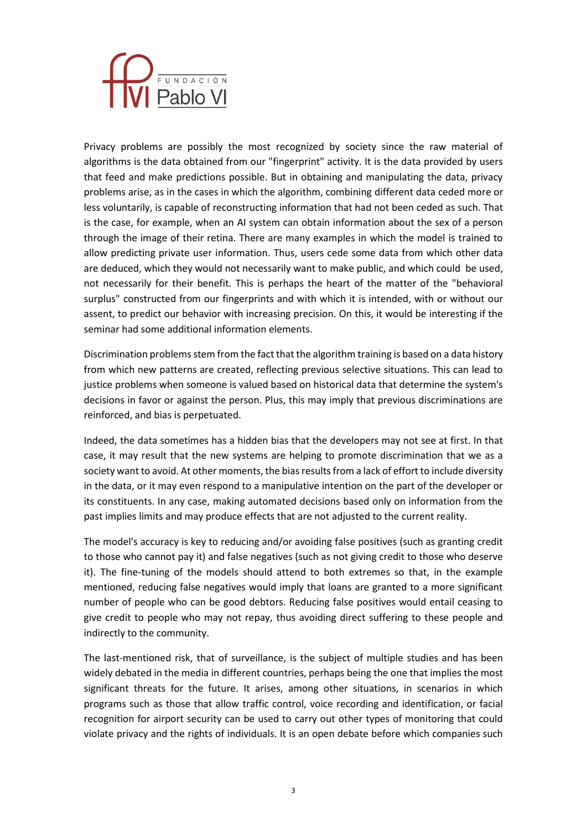

Privacy problems are possibly the most recognized by society since the raw material of algorithms is the data obtained from our "fingerprint" activity. It is the data provided by users that feed and make predictions possible. But in obtaining and manipulating the data, privacy problems arise, as in the cases in which the algorithm, combining different data ceded more or less voluntarily, is capable of reconstructing information that had not been ceded as such. That is the case, for example, when an AI system can obtain information about the sex of a person through the image of their retina. There are many examples in which the model is trained to allow predicting private user information. Thus, users cede some data from which other data are deduced, which they would not necessarily want to make public, and which could be used, not necessarily for their benefit. This is perhaps the heart of the matter of the "behavioral surplus" constructed from our fingerprints and with which it is intended, with or without our assent, to predict our behavior with increasing precision. On this, it would be interesting if the seminar had some additional information elements.

Discrimination problems stem from the fact that the algorithm training is based on a data history from which new patterns are created, reflecting previous selective situations. This can lead to justice problems when someone is valued based on historical data that determine the system's decisions in favor or against the person. Plus, this may imply that previous discriminations are reinforced, and bias is perpetuated.

Indeed, the data sometimes has a hidden bias that the developers may not see at first. In that case, it may result that the new systems are helping to promote discrimination that we as a society want to avoid. At other moments, the bias results from a lack of effort to include diversity in the data, or it may even respond to a manipulative intention on the part of the developer or its constituents. In any case, making automated decisions based only on information from the past implies limits and may produce effects that are not adjusted to the current reality.

The model's accuracy is key to reducing and/or avoiding false positives (such as granting credit to those who cannot pay it) and false negatives (such as not giving credit to those who deserve it). The fine-tuning of the models should attend to both extremes so that, in the example mentioned, reducing false negatives would imply that loans are granted to a more significant number of people who can be good debtors. Reducing false positives would entail ceasing to give credit to people who may not repay, thus avoiding direct suffering to these people and indirectly to the community.

The last-mentioned risk, that of surveillance, is the subject of multiple studies and has been widely debated in the media in different countries, perhaps being the one that implies the most significant threats for the future. It arises, among other situations, in scenarios in which programs such as those that allow traffic control, voice recording and identification, or facial recognition for airport security can be used to carry out other types of monitoring that could violate privacy and the rights of individuals. It is an open debate before which companies such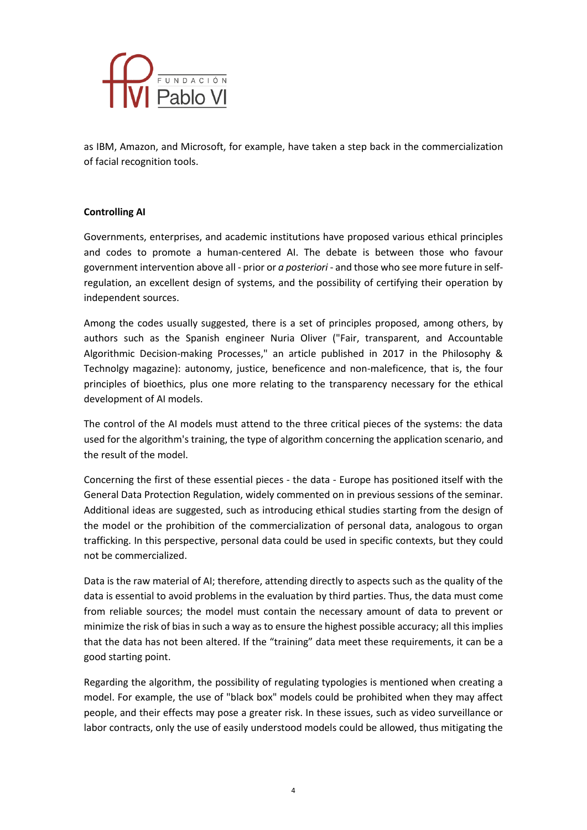

as IBM, Amazon, and Microsoft, for example, have taken a step back in the commercialization of facial recognition tools.

## **Controlling AI**

Governments, enterprises, and academic institutions have proposed various ethical principles and codes to promote a human-centered AI. The debate is between those who favour government intervention above all - prior or *a posteriori* - and those who see more future in selfregulation, an excellent design of systems, and the possibility of certifying their operation by independent sources.

Among the codes usually suggested, there is a set of principles proposed, among others, by authors such as the Spanish engineer Nuria Oliver ("Fair, transparent, and Accountable Algorithmic Decision-making Processes," an article published in 2017 in the Philosophy & Technolgy magazine): autonomy, justice, beneficence and non-maleficence, that is, the four principles of bioethics, plus one more relating to the transparency necessary for the ethical development of AI models.

The control of the AI models must attend to the three critical pieces of the systems: the data used for the algorithm's training, the type of algorithm concerning the application scenario, and the result of the model.

Concerning the first of these essential pieces - the data - Europe has positioned itself with the General Data Protection Regulation, widely commented on in previous sessions of the seminar. Additional ideas are suggested, such as introducing ethical studies starting from the design of the model or the prohibition of the commercialization of personal data, analogous to organ trafficking. In this perspective, personal data could be used in specific contexts, but they could not be commercialized.

Data is the raw material of AI; therefore, attending directly to aspects such as the quality of the data is essential to avoid problems in the evaluation by third parties. Thus, the data must come from reliable sources; the model must contain the necessary amount of data to prevent or minimize the risk of bias in such a way as to ensure the highest possible accuracy; all this implies that the data has not been altered. If the "training" data meet these requirements, it can be a good starting point.

Regarding the algorithm, the possibility of regulating typologies is mentioned when creating a model. For example, the use of "black box" models could be prohibited when they may affect people, and their effects may pose a greater risk. In these issues, such as video surveillance or labor contracts, only the use of easily understood models could be allowed, thus mitigating the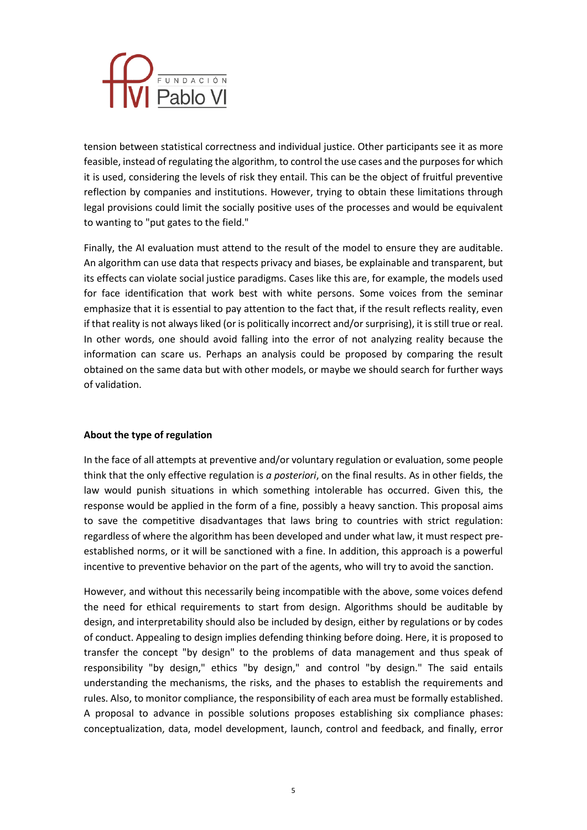

tension between statistical correctness and individual justice. Other participants see it as more feasible, instead of regulating the algorithm, to control the use cases and the purposes for which it is used, considering the levels of risk they entail. This can be the object of fruitful preventive reflection by companies and institutions. However, trying to obtain these limitations through legal provisions could limit the socially positive uses of the processes and would be equivalent to wanting to "put gates to the field."

Finally, the AI evaluation must attend to the result of the model to ensure they are auditable. An algorithm can use data that respects privacy and biases, be explainable and transparent, but its effects can violate social justice paradigms. Cases like this are, for example, the models used for face identification that work best with white persons. Some voices from the seminar emphasize that it is essential to pay attention to the fact that, if the result reflects reality, even if that reality is not always liked (or is politically incorrect and/or surprising), it is still true or real. In other words, one should avoid falling into the error of not analyzing reality because the information can scare us. Perhaps an analysis could be proposed by comparing the result obtained on the same data but with other models, or maybe we should search for further ways of validation.

# **About the type of regulation**

In the face of all attempts at preventive and/or voluntary regulation or evaluation, some people think that the only effective regulation is *a posteriori*, on the final results. As in other fields, the law would punish situations in which something intolerable has occurred. Given this, the response would be applied in the form of a fine, possibly a heavy sanction. This proposal aims to save the competitive disadvantages that laws bring to countries with strict regulation: regardless of where the algorithm has been developed and under what law, it must respect preestablished norms, or it will be sanctioned with a fine. In addition, this approach is a powerful incentive to preventive behavior on the part of the agents, who will try to avoid the sanction.

However, and without this necessarily being incompatible with the above, some voices defend the need for ethical requirements to start from design. Algorithms should be auditable by design, and interpretability should also be included by design, either by regulations or by codes of conduct. Appealing to design implies defending thinking before doing. Here, it is proposed to transfer the concept "by design" to the problems of data management and thus speak of responsibility "by design," ethics "by design," and control "by design." The said entails understanding the mechanisms, the risks, and the phases to establish the requirements and rules. Also, to monitor compliance, the responsibility of each area must be formally established. A proposal to advance in possible solutions proposes establishing six compliance phases: conceptualization, data, model development, launch, control and feedback, and finally, error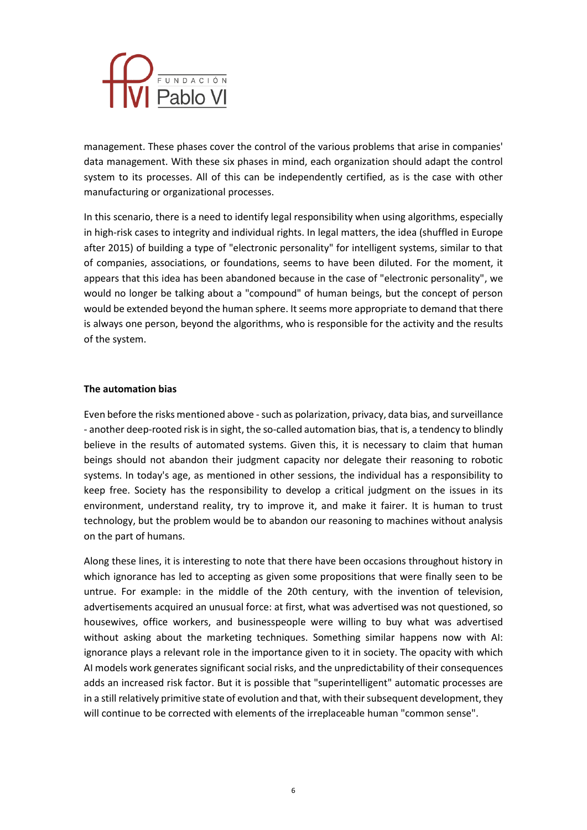

management. These phases cover the control of the various problems that arise in companies' data management. With these six phases in mind, each organization should adapt the control system to its processes. All of this can be independently certified, as is the case with other manufacturing or organizational processes.

In this scenario, there is a need to identify legal responsibility when using algorithms, especially in high-risk cases to integrity and individual rights. In legal matters, the idea (shuffled in Europe after 2015) of building a type of "electronic personality" for intelligent systems, similar to that of companies, associations, or foundations, seems to have been diluted. For the moment, it appears that this idea has been abandoned because in the case of "electronic personality", we would no longer be talking about a "compound" of human beings, but the concept of person would be extended beyond the human sphere. It seems more appropriate to demand that there is always one person, beyond the algorithms, who is responsible for the activity and the results of the system.

#### **The automation bias**

Even before the risks mentioned above - such as polarization, privacy, data bias, and surveillance - another deep-rooted risk is in sight, the so-called automation bias, that is, a tendency to blindly believe in the results of automated systems. Given this, it is necessary to claim that human beings should not abandon their judgment capacity nor delegate their reasoning to robotic systems. In today's age, as mentioned in other sessions, the individual has a responsibility to keep free. Society has the responsibility to develop a critical judgment on the issues in its environment, understand reality, try to improve it, and make it fairer. It is human to trust technology, but the problem would be to abandon our reasoning to machines without analysis on the part of humans.

Along these lines, it is interesting to note that there have been occasions throughout history in which ignorance has led to accepting as given some propositions that were finally seen to be untrue. For example: in the middle of the 20th century, with the invention of television, advertisements acquired an unusual force: at first, what was advertised was not questioned, so housewives, office workers, and businesspeople were willing to buy what was advertised without asking about the marketing techniques. Something similar happens now with AI: ignorance plays a relevant role in the importance given to it in society. The opacity with which AI models work generates significant social risks, and the unpredictability of their consequences adds an increased risk factor. But it is possible that "superintelligent" automatic processes are in a still relatively primitive state of evolution and that, with their subsequent development, they will continue to be corrected with elements of the irreplaceable human "common sense".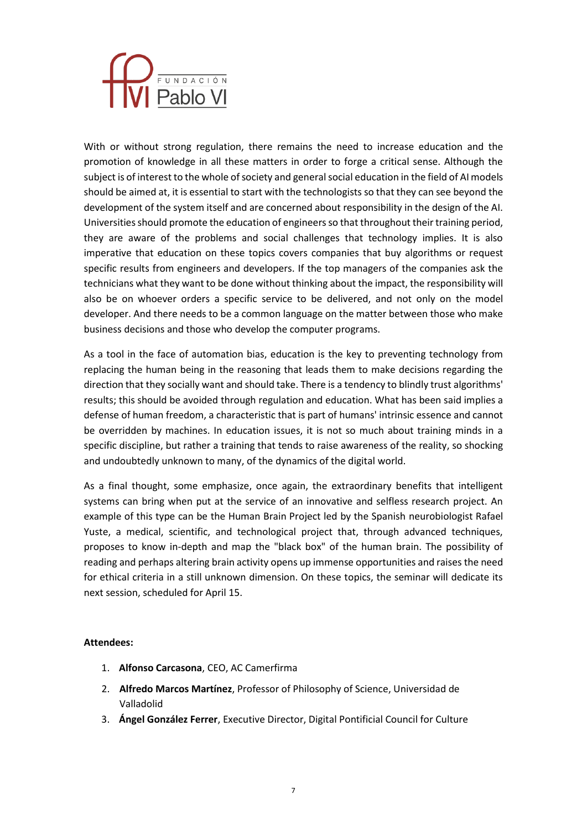

With or without strong regulation, there remains the need to increase education and the promotion of knowledge in all these matters in order to forge a critical sense. Although the subject is of interest to the whole of society and general social education in the field of AI models should be aimed at, it is essential to start with the technologists so that they can see beyond the development of the system itself and are concerned about responsibility in the design of the AI. Universities should promote the education of engineers so that throughout their training period, they are aware of the problems and social challenges that technology implies. It is also imperative that education on these topics covers companies that buy algorithms or request specific results from engineers and developers. If the top managers of the companies ask the technicians what they want to be done without thinking about the impact, the responsibility will also be on whoever orders a specific service to be delivered, and not only on the model developer. And there needs to be a common language on the matter between those who make business decisions and those who develop the computer programs.

As a tool in the face of automation bias, education is the key to preventing technology from replacing the human being in the reasoning that leads them to make decisions regarding the direction that they socially want and should take. There is a tendency to blindly trust algorithms' results; this should be avoided through regulation and education. What has been said implies a defense of human freedom, a characteristic that is part of humans' intrinsic essence and cannot be overridden by machines. In education issues, it is not so much about training minds in a specific discipline, but rather a training that tends to raise awareness of the reality, so shocking and undoubtedly unknown to many, of the dynamics of the digital world.

As a final thought, some emphasize, once again, the extraordinary benefits that intelligent systems can bring when put at the service of an innovative and selfless research project. An example of this type can be the Human Brain Project led by the Spanish neurobiologist Rafael Yuste, a medical, scientific, and technological project that, through advanced techniques, proposes to know in-depth and map the "black box" of the human brain. The possibility of reading and perhaps altering brain activity opens up immense opportunities and raises the need for ethical criteria in a still unknown dimension. On these topics, the seminar will dedicate its next session, scheduled for April 15.

#### **Attendees:**

- 1. **Alfonso Carcasona**, CEO, AC Camerfirma
- 2. **Alfredo Marcos Martínez**, Professor of Philosophy of Science, Universidad de Valladolid
- 3. **Ángel González Ferrer**, Executive Director, Digital Pontificial Council for Culture